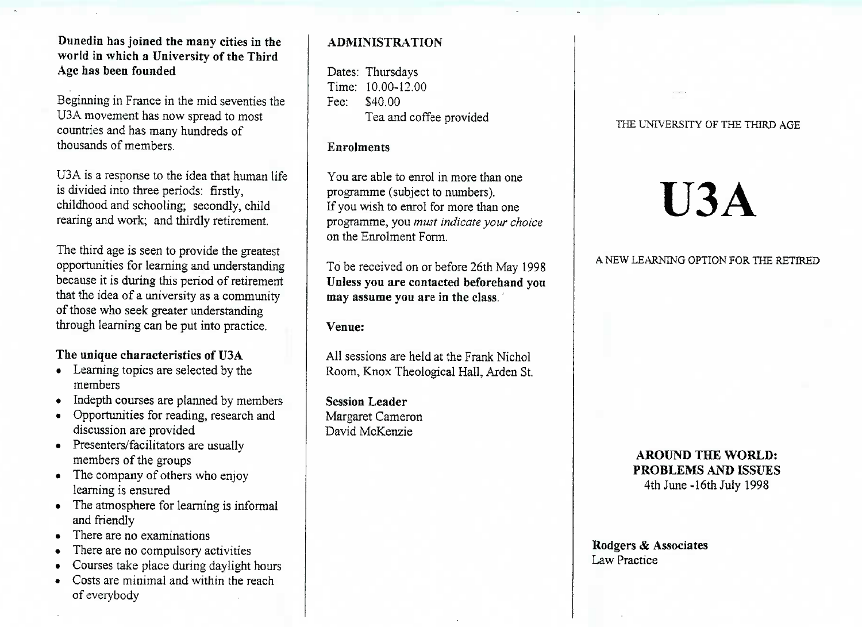**Dunedin has joined the many cities in the world in which a University of the ThirdAge has been founded**

Beginning in France in the mid seventies theU3A movement has now spread to mostcountries and has many hundreds ofthousands of members.

USA is a response to the idea that human lifeis divided into three periods: firstly, childhood and schooling; secondly, childrearing and work; and thirdly retirement.

The third age is seen to provide the greatest opportunities for learning and understanding because it is during this period of retirement that the idea of a university as a communityof those who seek greater understandingthrough learning can be put into practice.

## **The unique characteristics of USA**

- Learning topics are selected by themembers
- Indepth courses are planned by members
- Opportunities for reading, research and
- discussion are provided Presenters/facilitators are usuallymembers of the groups
- Ine company of others who enjoy learning is ensured
- The atmosphere for learning is informaland friendly
- There are no examinations
- $\epsilon$  inere are no compulsory activities
- Courses take place during daylight hours
- Costs are minimal and within the reachof everybody

## **ADMINISTRATION**

Dates: Thursdays Time: 10.00-12.00Fee: \$40.00I ea and corree provided

## **Enrolments**

You are able to enrol in more than oneprogramme (subject to numbers). If you wish to enrol for more than one programme, you *must indicate your choice*on the Enrolment Form.

To be received on or before 26th May 1998 **Unless you are contacted beforehand youmay assume you are in the class.**

#### **Venue:**

Ail sessions are held at the Frank NicholRoom, Knox Theological Hall, Arden St.

**Session Leader** Margaret CameronDavid McKenzie

#### THE UNIVERSITY OF THE THIRD AGE

# **USA**

#### A NEW LEARNING OPTION FOR THE RETIRED

### **AROUND THE WORLD: PROBLEMS AND ISSUES**4th June-16th July 1998

#### **Rodgers** *&* **Associates**Law Practice